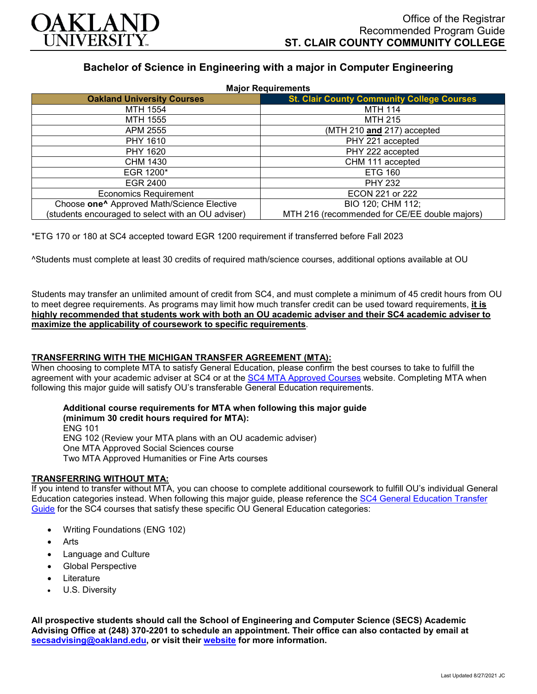

# **Bachelor of Science in Engineering with a major in Computer Engineering**

| <b>Major Requirements</b>                              |                                                   |
|--------------------------------------------------------|---------------------------------------------------|
| <b>Oakland University Courses</b>                      | <b>St. Clair County Community College Courses</b> |
| MTH 1554                                               | <b>MTH 114</b>                                    |
| MTH 1555                                               | <b>MTH 215</b>                                    |
| APM 2555                                               | (MTH 210 and 217) accepted                        |
| PHY 1610                                               | PHY 221 accepted                                  |
| PHY 1620                                               | PHY 222 accepted                                  |
| CHM 1430                                               | CHM 111 accepted                                  |
| EGR 1200*                                              | <b>ETG 160</b>                                    |
| EGR 2400                                               | <b>PHY 232</b>                                    |
| <b>Economics Requirement</b>                           | ECON 221 or 222                                   |
| Choose one <sup>^</sup> Approved Math/Science Elective | BIO 120; CHM 112;                                 |
| (students encouraged to select with an OU adviser)     | MTH 216 (recommended for CE/EE double majors)     |

\*ETG 170 or 180 at SC4 accepted toward EGR 1200 requirement if transferred before Fall 2023

^Students must complete at least 30 credits of required math/science courses, additional options available at OU

Students may transfer an unlimited amount of credit from SC4, and must complete a minimum of 45 credit hours from OU to meet degree requirements. As programs may limit how much transfer credit can be used toward requirements, **it is highly recommended that students work with both an OU academic adviser and their SC4 academic adviser to maximize the applicability of coursework to specific requirements**.

### **TRANSFERRING WITH THE MICHIGAN TRANSFER AGREEMENT (MTA):**

When choosing to complete MTA to satisfy General Education, please confirm the best courses to take to fulfill the agreement with your academic adviser at SC4 or at the [SC4 MTA Approved Courses](https://sc4.edu/admissions/transferring-after-sc4/michigan-transfer-agreement/) website. Completing MTA when following this major guide will satisfy OU's transferable General Education requirements.

**Additional course requirements for MTA when following this major guide** 

**(minimum 30 credit hours required for MTA):** ENG 101 ENG 102 (Review your MTA plans with an OU academic adviser) One MTA Approved Social Sciences course Two MTA Approved Humanities or Fine Arts courses

### **TRANSFERRING WITHOUT MTA:**

If you intend to transfer without MTA, you can choose to complete additional coursework to fulfill OU's individual General Education categories instead. When following this major guide, please reference the [SC4 General Education Transfer](https://www.oakland.edu/Assets/Oakland/program-guides/st-clair-county-community-college/university-general-education-requirements/SC4%20Gen%20Ed.pdf)  [Guide](https://www.oakland.edu/Assets/Oakland/program-guides/st-clair-county-community-college/university-general-education-requirements/SC4%20Gen%20Ed.pdf) for the SC4 courses that satisfy these specific OU General Education categories:

- Writing Foundations (ENG 102)
- **Arts**
- Language and Culture
- Global Perspective
- **Literature**
- U.S. Diversity

**All prospective students should call the School of Engineering and Computer Science (SECS) Academic Advising Office at (248) 370-2201 to schedule an appointment. Their office can also contacted by email at [secsadvising@oakland.edu,](mailto:secsadvising@oakland.edu) or visit their [website](https://wwwp.oakland.edu/secs/advising/) for more information.**